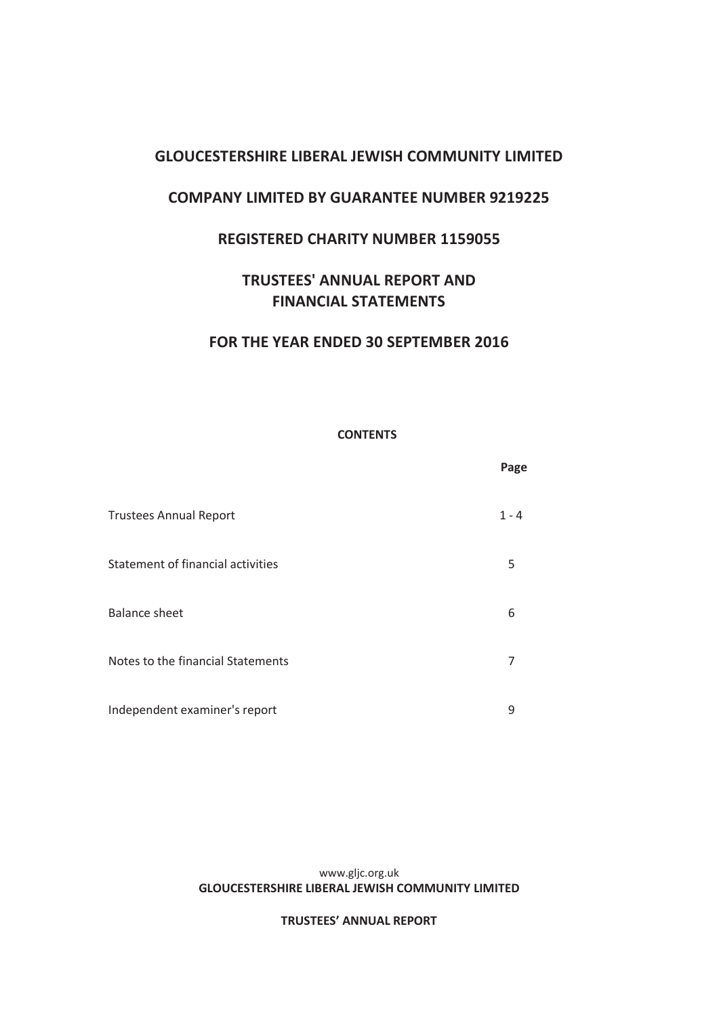# **COMPANY LIMITED BY GUARANTEE NUMBER 9219225**

# **REGISTERED CHARITY NUMBER 1159055**

# **TRUSTEES' ANNUAL REPORT AND FINANCIAL STATEMENTS**

# **FOR THE YEAR ENDED 30 SEPTEMBER 2016**

### **CONTENTS**

|                                   | Page    |
|-----------------------------------|---------|
| <b>Trustees Annual Report</b>     | $1 - 4$ |
| Statement of financial activities | 5       |
| <b>Balance sheet</b>              | 6       |
| Notes to the financial Statements | 7       |
| Independent examiner's report     | 9       |

#### www.gljc.org.uk **GLOUCESTERSHIRE LIBERAL JEWISH COMMUNITY LIMITED**

### **TRUSTEES' ANNUAL REPORT**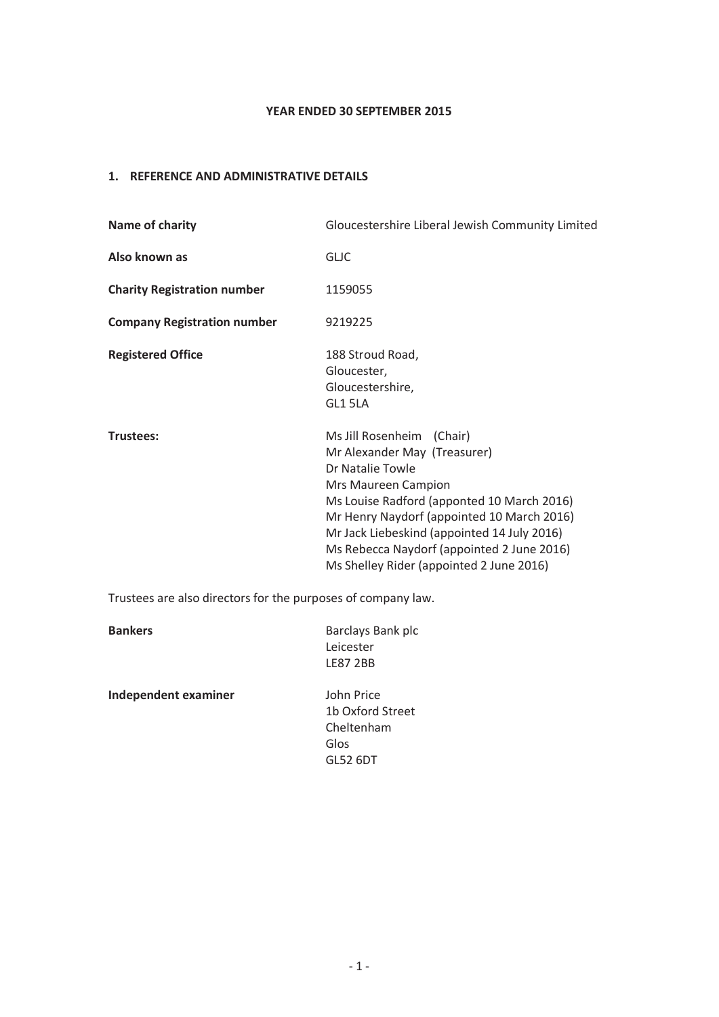### **YEAR ENDED 30 SEPTEMBER 2015**

## **1. REFERENCE AND ADMINISTRATIVE DETAILS**

| Name of charity                    | Gloucestershire Liberal Jewish Community Limited                                                                                                                                                                                                                                                                                          |  |
|------------------------------------|-------------------------------------------------------------------------------------------------------------------------------------------------------------------------------------------------------------------------------------------------------------------------------------------------------------------------------------------|--|
| Also known as                      | <b>GLIC</b>                                                                                                                                                                                                                                                                                                                               |  |
| <b>Charity Registration number</b> | 1159055                                                                                                                                                                                                                                                                                                                                   |  |
| <b>Company Registration number</b> | 9219225                                                                                                                                                                                                                                                                                                                                   |  |
| <b>Registered Office</b>           | 188 Stroud Road,<br>Gloucester,<br>Gloucestershire,<br>GL1 5LA                                                                                                                                                                                                                                                                            |  |
| Trustees:                          | Ms Jill Rosenheim (Chair)<br>Mr Alexander May (Treasurer)<br>Dr Natalie Towle<br>Mrs Maureen Campion<br>Ms Louise Radford (apponted 10 March 2016)<br>Mr Henry Naydorf (appointed 10 March 2016)<br>Mr Jack Liebeskind (appointed 14 July 2016)<br>Ms Rebecca Naydorf (appointed 2 June 2016)<br>Ms Shelley Rider (appointed 2 June 2016) |  |

Trustees are also directors for the purposes of company law.

| <b>Bankers</b>              | Barclays Bank plc<br>Leicester<br><b>LE87 2BB</b>                       |
|-----------------------------|-------------------------------------------------------------------------|
| <b>Independent examiner</b> | John Price<br>1b Oxford Street<br>Cheltenham<br>Glos<br><b>GL52 6DT</b> |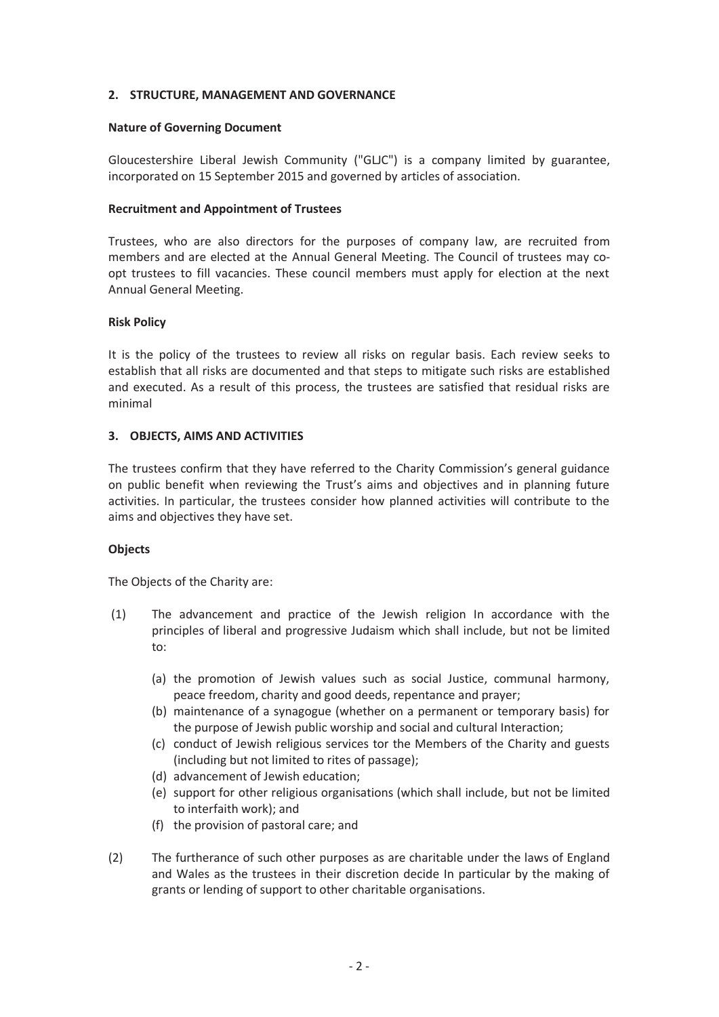### **2. STRUCTURE, MANAGEMENT AND GOVERNANCE**

### **Nature of Governing Document**

Gloucestershire Liberal Jewish Community ("GLJC") is a company limited by guarantee, incorporated on 15 September 2015 and governed by articles of association.

### **Recruitment and Appointment of Trustees**

Trustees, who are also directors for the purposes of company law, are recruited from members and are elected at the Annual General Meeting. The Council of trustees may coopt trustees to fill vacancies. These council members must apply for election at the next Annual General Meeting.

#### **Risk Policy**

It is the policy of the trustees to review all risks on regular basis. Each review seeks to establish that all risks are documented and that steps to mitigate such risks are established and executed. As a result of this process, the trustees are satisfied that residual risks are minimal

### **3. OBJECTS, AIMS AND ACTIVITIES**

The trustees confirm that they have referred to the Charity Commission's general guidance on public benefit when reviewing the Trust's aims and objectives and in planning future activities. In particular, the trustees consider how planned activities will contribute to the aims and objectives they have set.

#### **Objects**

The Objects of the Charity are:

- (1) The advancement and practice of the Jewish religion In accordance with the principles of liberal and progressive Judaism which shall include, but not be limited to:
	- (a) the promotion of Jewish values such as social Justice, communal harmony, peace freedom, charity and good deeds, repentance and prayer;
	- (b) maintenance of a synagogue (whether on a permanent or temporary basis) for the purpose of Jewish public worship and social and cultural Interaction;
	- (c) conduct of Jewish religious services tor the Members of the Charity and guests (including but not limited to rites of passage);
	- (d) advancement of Jewish education;
	- (e) support for other religious organisations (which shall include, but not be limited to interfaith work); and
	- (f) the provision of pastoral care; and
- (2) The furtherance of such other purposes as are charitable under the laws of England and Wales as the trustees in their discretion decide In particular by the making of grants or lending of support to other charitable organisations.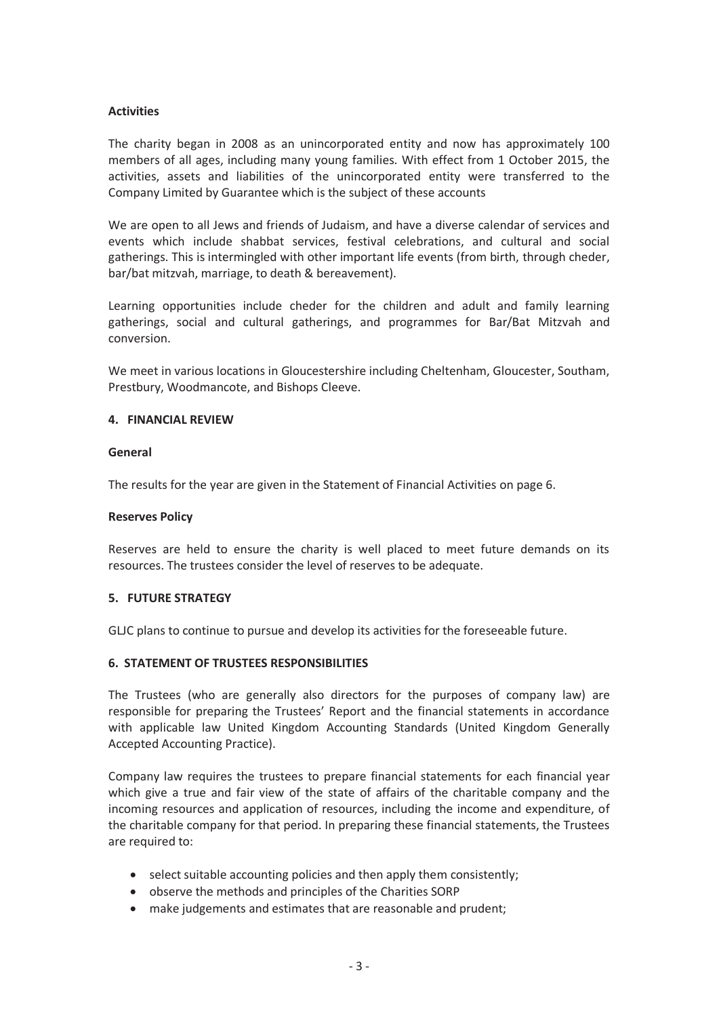### **Activities**

The charity began in 2008 as an unincorporated entity and now has approximately 100 members of all ages, including many young families. With effect from 1 October 2015, the activities, assets and liabilities of the unincorporated entity were transferred to the Company Limited by Guarantee which is the subject of these accounts

We are open to all Jews and friends of Judaism, and have a diverse calendar of services and events which include shabbat services, festival celebrations, and cultural and social gatherings. This is intermingled with other important life events (from birth, through cheder, bar/bat mitzvah, marriage, to death & bereavement).

Learning opportunities include cheder for the children and adult and family learning gatherings, social and cultural gatherings, and programmes for Bar/Bat Mitzvah and conversion.

We meet in various locations in Gloucestershire including Cheltenham, Gloucester, Southam, Prestbury, Woodmancote, and Bishops Cleeve.

### **4. FINANCIAL REVIEW**

### **General**

The results for the year are given in the Statement of Financial Activities on page 6.

### **Reserves Policy**

Reserves are held to ensure the charity is well placed to meet future demands on its resources. The trustees consider the level of reserves to be adequate.

### **5. FUTURE STRATEGY**

GLJC plans to continue to pursue and develop its activities for the foreseeable future.

### **6. STATEMENT OF TRUSTEES RESPONSIBILITIES**

The Trustees (who are generally also directors for the purposes of company law) are responsible for preparing the Trustees' Report and the financial statements in accordance with applicable law United Kingdom Accounting Standards (United Kingdom Generally Accepted Accounting Practice).

Company law requires the trustees to prepare financial statements for each financial year which give a true and fair view of the state of affairs of the charitable company and the incoming resources and application of resources, including the income and expenditure, of the charitable company for that period. In preparing these financial statements, the Trustees are required to:

- select suitable accounting policies and then apply them consistently;
- · observe the methods and principles of the Charities SORP
- make judgements and estimates that are reasonable and prudent;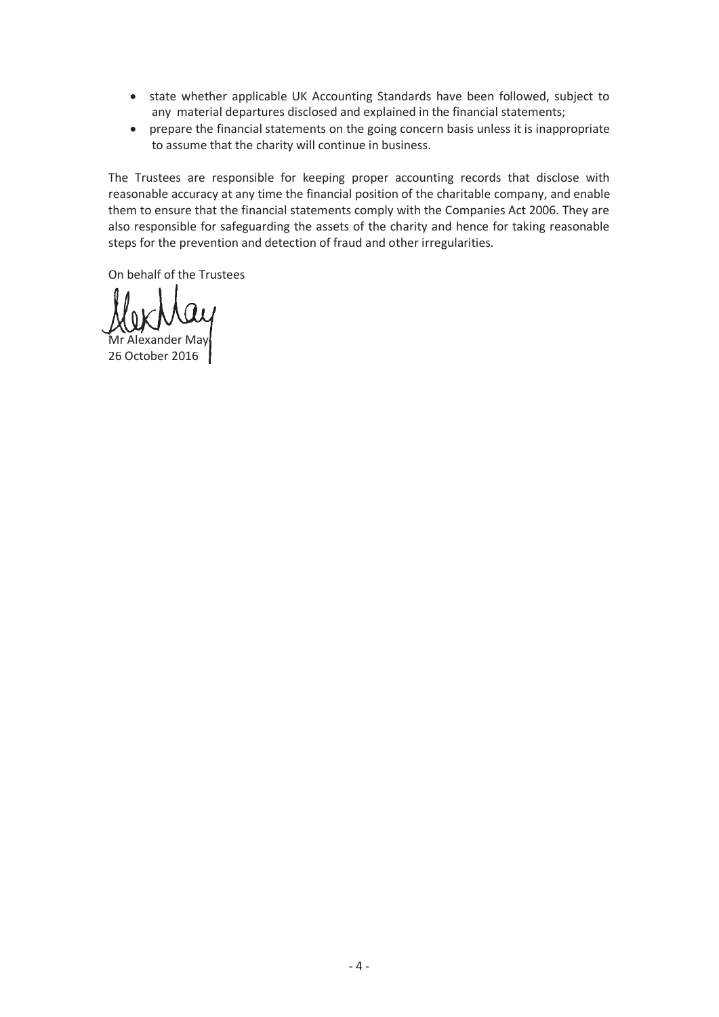- · state whether applicable UK Accounting Standards have been followed, subject to any material departures disclosed and explained in the financial statements;
- · prepare the financial statements on the going concern basis unless it is inappropriate to assume that the charity will continue in business.

The Trustees are responsible for keeping proper accounting records that disclose with reasonable accuracy at any time the financial position of the charitable company, and enable them to ensure that the financial statements comply with the Companies Act 2006. They are also responsible for safeguarding the assets of the charity and hence for taking reasonable steps for the prevention and detection of fraud and other irregularities.

On behalf of the Trustees

Mr Alexander May

26 October 2016 26 2016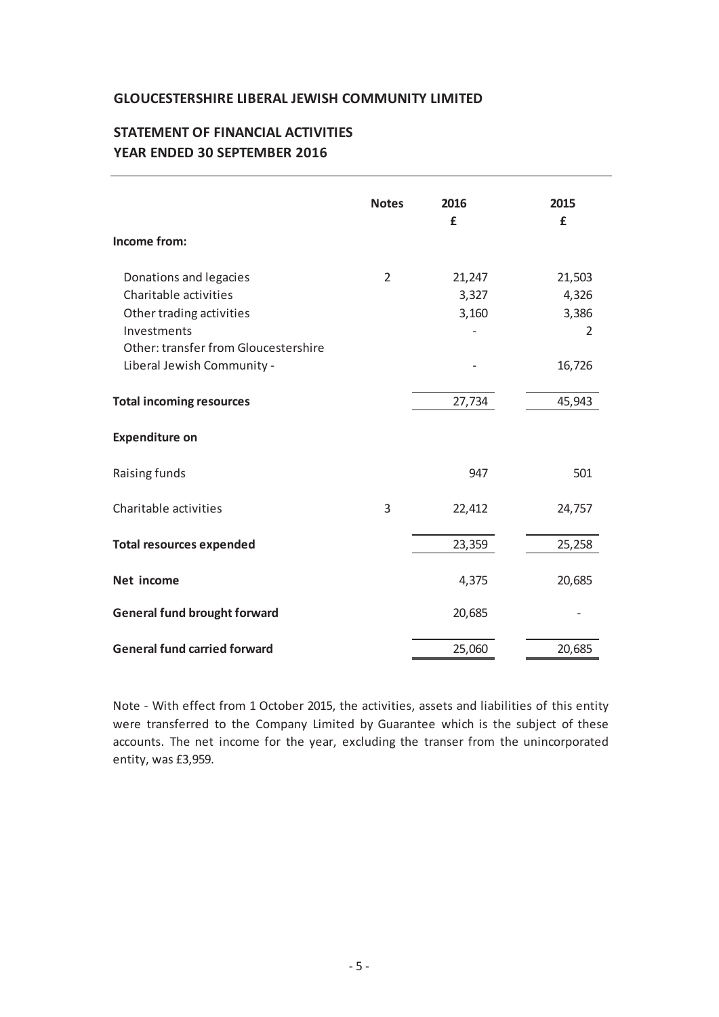# **STATEMENT OF FINANCIAL ACTIVITIES YEAR ENDED 30 SEPTEMBER 2016**

| Income from:                                                                                                                                                     | <b>Notes</b> | 2016<br>£                | 2015<br>£                               |
|------------------------------------------------------------------------------------------------------------------------------------------------------------------|--------------|--------------------------|-----------------------------------------|
| Donations and legacies<br>Charitable activities<br>Other trading activities<br>Investments<br>Other: transfer from Gloucestershire<br>Liberal Jewish Community - | 2            | 21,247<br>3,327<br>3,160 | 21,503<br>4,326<br>3,386<br>2<br>16,726 |
| <b>Total incoming resources</b>                                                                                                                                  |              | 27,734                   | 45,943                                  |
| <b>Expenditure on</b>                                                                                                                                            |              |                          |                                         |
| Raising funds                                                                                                                                                    |              | 947                      | 501                                     |
| Charitable activities                                                                                                                                            | 3            | 22,412                   | 24,757                                  |
| <b>Total resources expended</b>                                                                                                                                  |              | 23,359                   | 25,258                                  |
| Net income                                                                                                                                                       |              | 4,375                    | 20,685                                  |
| <b>General fund brought forward</b>                                                                                                                              |              | 20,685                   |                                         |
| <b>General fund carried forward</b>                                                                                                                              |              | 25,060                   | 20,685                                  |

Note - With effect from 1 October 2015, the activities, assets and liabilities of this entity were transferred to the Company Limited by Guarantee which is the subject of these accounts. The net income for the year, excluding the transer from the unincorporated entity, was £3,959.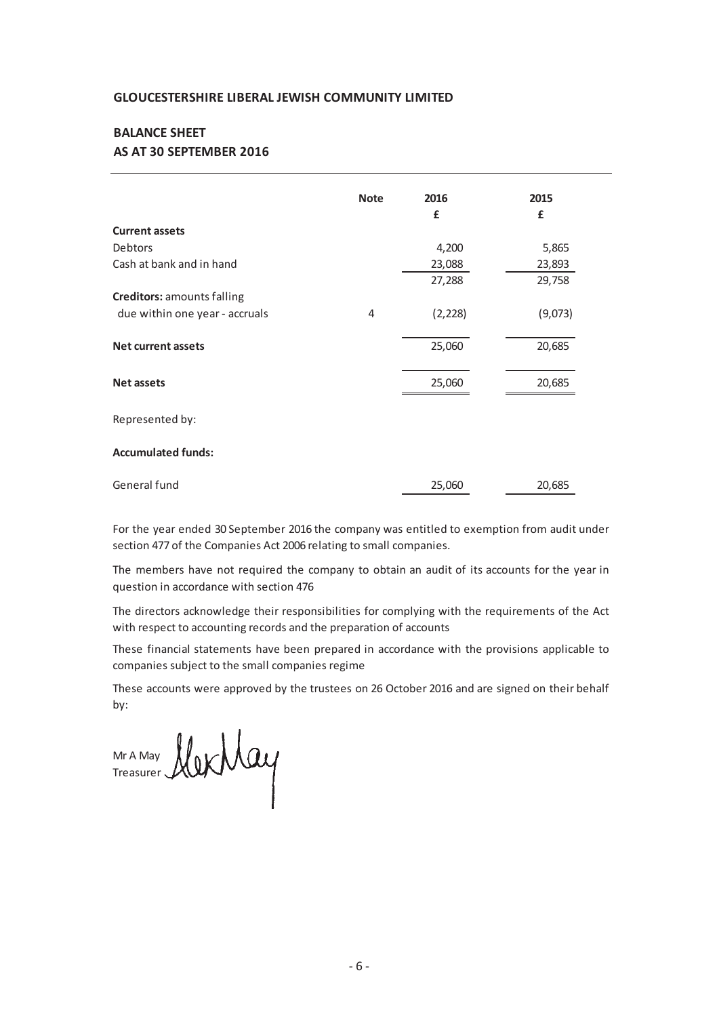### **AS AT 30 SEPTEMBER 2016 BALANCE SHEET**

|                                   | <b>Note</b> | 2016<br>£ | 2015<br>£ |
|-----------------------------------|-------------|-----------|-----------|
| <b>Current assets</b>             |             |           |           |
| Debtors                           |             | 4,200     | 5,865     |
|                                   |             |           |           |
| Cash at bank and in hand          |             | 23,088    | 23,893    |
|                                   |             | 27,288    | 29,758    |
| <b>Creditors: amounts falling</b> |             |           |           |
| due within one year - accruals    | 4           | (2, 228)  | (9,073)   |
|                                   |             |           |           |
| <b>Net current assets</b>         |             | 25,060    | 20,685    |
|                                   |             |           |           |
| <b>Net assets</b>                 |             | 25,060    | 20,685    |
|                                   |             |           |           |
| Represented by:                   |             |           |           |
|                                   |             |           |           |
| <b>Accumulated funds:</b>         |             |           |           |
| General fund                      |             | 25,060    | 20,685    |
|                                   |             |           |           |

For the year ended 30 September 2016 the company was entitled to exemption from audit under section 477 of the Companies Act 2006 relating to small companies.

The members have not required the company to obtain an audit of its accounts for the year in question in accordance with section 476

The directors acknowledge their responsibilities for complying with the requirements of the Act with respect to accounting records and the preparation of accounts

These financial statements have been prepared in accordance with the provisions applicable to companies subject to the small companies regime

These accounts were approved by the trustees on 26 October 2016 and are signed on their behalf by:

Mr A May Treasurer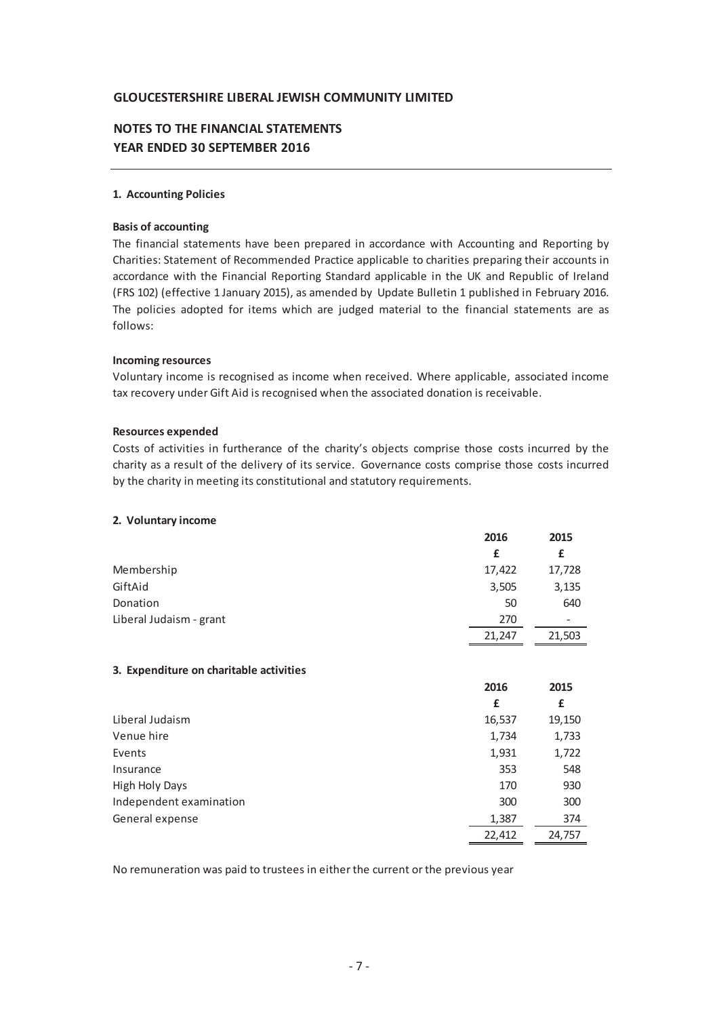## **NOTES TO THE FINANCIAL STATEMENTS YEAR ENDED 30 SEPTEMBER 2016**

### **1. Accounting Policies**

#### **Basis of accounting**

The financial statements have been prepared in accordance with Accounting and Reporting by Charities: Statement of Recommended Practice applicable to charities preparing their accounts in accordance with the Financial Reporting Standard applicable in the UK and Republic of Ireland (FRS 102) (effective 1 January 2015), as amended by Update Bulletin 1 published in February 2016. The policies adopted for items which are judged material to the financial statements are as follows:

#### **Incoming resources**

Voluntary income is recognised as income when received. Where applicable, associated income tax recovery under Gift Aid is recognised when the associated donation is receivable.

#### **Resources expended**

Costs of activities in furtherance of the charity's objects comprise those costs incurred by the charity as a result of the delivery of its service. Governance costs comprise those costs incurred by the charity in meeting its constitutional and statutory requirements.

#### **2. Voluntary income**

|                                         | 2016   | 2015   |
|-----------------------------------------|--------|--------|
|                                         | £      | £      |
| Membership                              | 17,422 | 17,728 |
| GiftAid                                 | 3,505  | 3,135  |
| Donation                                | 50     | 640    |
| Liberal Judaism - grant                 | 270    |        |
|                                         | 21,247 | 21,503 |
|                                         |        |        |
| 3. Expenditure on charitable activities |        |        |
|                                         | 2016   | 2015   |
|                                         | £      | £      |
| Liberal Judaism                         | 16,537 | 19,150 |
| Venue hire                              | 1,734  | 1,733  |
| Events                                  | 1,931  | 1,722  |
| Insurance                               | 353    | 548    |
| <b>High Holy Days</b>                   | 170    | 930    |
| Independent examination                 | 300    | 300    |
| General expense                         | 1,387  | 374    |
|                                         | 22,412 | 24,757 |

No remuneration was paid to trustees in either the current or the previous year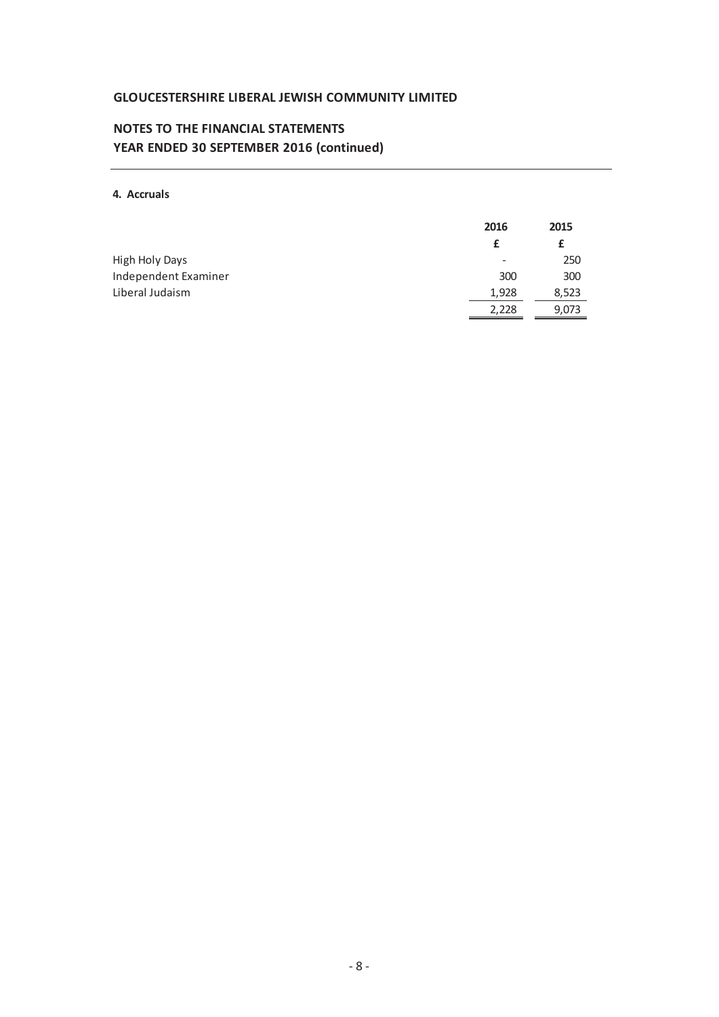# **NOTES TO THE FINANCIAL STATEMENTS YEAR ENDED 30 SEPTEMBER 2016 (continued)**

### **4. Accruals**

|                       | 2016  | 2015  |
|-----------------------|-------|-------|
|                       |       |       |
| <b>High Holy Days</b> | -     | 250   |
| Independent Examiner  | 300   | 300   |
| Liberal Judaism       | 1.928 | 8,523 |
|                       | 2,228 | 9,073 |